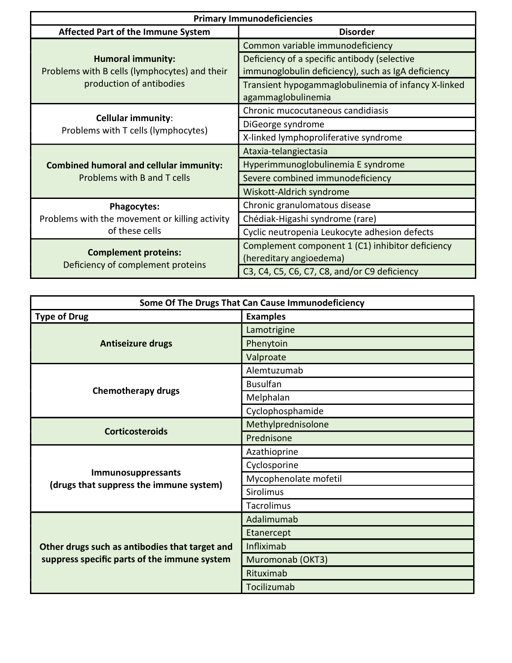| <b>Primary Immunodeficiencies</b>                                                                     |                                                                                                    |  |
|-------------------------------------------------------------------------------------------------------|----------------------------------------------------------------------------------------------------|--|
| <b>Affected Part of the Immune System</b>                                                             | <b>Disorder</b>                                                                                    |  |
| <b>Humoral immunity:</b><br>Problems with B cells (lymphocytes) and their<br>production of antibodies | Common variable immunodeficiency                                                                   |  |
|                                                                                                       | Deficiency of a specific antibody (selective<br>immunoglobulin deficiency), such as IgA deficiency |  |
|                                                                                                       | Transient hypogammaglobulinemia of infancy X-linked<br>agammaglobulinemia                          |  |
| <b>Cellular immunity:</b><br>Problems with T cells (lymphocytes)                                      | Chronic mucocutaneous candidiasis                                                                  |  |
|                                                                                                       | DiGeorge syndrome                                                                                  |  |
|                                                                                                       | X-linked lymphoproliferative syndrome                                                              |  |
| <b>Combined humoral and cellular immunity:</b><br>Problems with B and T cells                         | Ataxia-telangiectasia                                                                              |  |
|                                                                                                       | Hyperimmunoglobulinemia E syndrome                                                                 |  |
|                                                                                                       | Severe combined immunodeficiency                                                                   |  |
|                                                                                                       | Wiskott-Aldrich syndrome                                                                           |  |
| <b>Phagocytes:</b><br>Problems with the movement or killing activity<br>of these cells                | Chronic granulomatous disease                                                                      |  |
|                                                                                                       | Chédiak-Higashi syndrome (rare)                                                                    |  |
|                                                                                                       | Cyclic neutropenia Leukocyte adhesion defects                                                      |  |
| <b>Complement proteins:</b><br>Deficiency of complement proteins                                      | Complement component 1 (C1) inhibitor deficiency<br>(hereditary angioedema)                        |  |
|                                                                                                       | C3, C4, C5, C6, C7, C8, and/or C9 deficiency                                                       |  |

| Some Of The Drugs That Can Cause Immunodeficiency                                              |                       |
|------------------------------------------------------------------------------------------------|-----------------------|
| <b>Type of Drug</b>                                                                            | <b>Examples</b>       |
| <b>Antiseizure drugs</b>                                                                       | Lamotrigine           |
|                                                                                                | Phenytoin             |
|                                                                                                | Valproate             |
| <b>Chemotherapy drugs</b>                                                                      | Alemtuzumab           |
|                                                                                                | <b>Busulfan</b>       |
|                                                                                                | Melphalan             |
|                                                                                                | Cyclophosphamide      |
|                                                                                                | Methylprednisolone    |
| <b>Corticosteroids</b>                                                                         | Prednisone            |
| Immunosuppressants<br>(drugs that suppress the immune system)                                  | Azathioprine          |
|                                                                                                | Cyclosporine          |
|                                                                                                | Mycophenolate mofetil |
|                                                                                                | Sirolimus             |
|                                                                                                | <b>Tacrolimus</b>     |
| Other drugs such as antibodies that target and<br>suppress specific parts of the immune system | Adalimumab            |
|                                                                                                | Etanercept            |
|                                                                                                | Infliximab            |
|                                                                                                | Muromonab (OKT3)      |
|                                                                                                | Rituximab             |
|                                                                                                | Tocilizumab           |